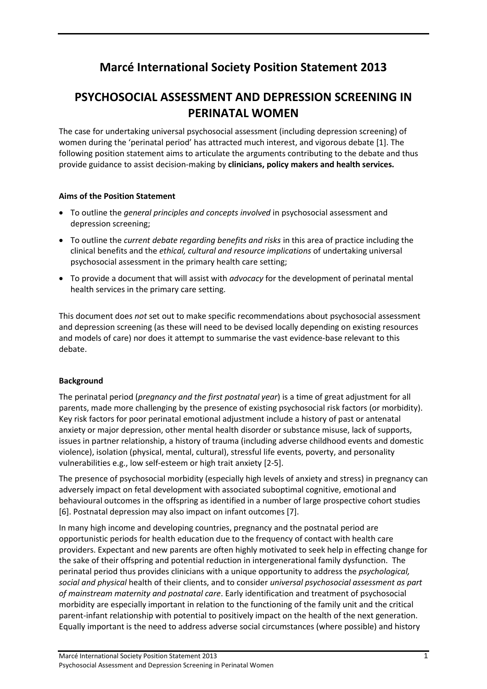# **Marcé International Society Position Statement 2013**

# **PSYCHOSOCIAL ASSESSMENT AND DEPRESSION SCREENING IN PERINATAL WOMEN**

The case for undertaking universal psychosocial assessment (including depression screening) of women during the 'perinatal period' has attracted much interest, and vigorous debate [\[1\]](#page-6-0). The following position statement aims to articulate the arguments contributing to the debate and thus provide guidance to assist decision-making by **clinicians, policy makers and health services.**

## **Aims of the Position Statement**

- To outline the *general principles and concepts involved* in psychosocial assessment and depression screening;
- To outline the *current debate regarding benefits and risks* in this area of practice including the clinical benefits and the *ethical, cultural and resource implications* of undertaking universal psychosocial assessment in the primary health care setting;
- To provide a document that will assist with *advocacy* for the development of perinatal mental health services in the primary care setting.

This document does *not* set out to make specific recommendations about psychosocial assessment and depression screening (as these will need to be devised locally depending on existing resources and models of care) nor does it attempt to summarise the vast evidence-base relevant to this debate.

## **Background**

The perinatal period (*pregnancy and the first postnatal year*) is a time of great adjustment for all parents, made more challenging by the presence of existing psychosocial risk factors (or morbidity). Key risk factors for poor perinatal emotional adjustment include a history of past or antenatal anxiety or major depression, other mental health disorder or substance misuse, lack of supports, issues in partner relationship, a history of trauma (including adverse childhood events and domestic violence), isolation (physical, mental, cultural), stressful life events, poverty, and personality vulnerabilities e.g., low self-esteem or high trait anxiety [\[2-5\]](#page-6-1).

The presence of psychosocial morbidity (especially high levels of anxiety and stress) in pregnancy can adversely impact on fetal development with associated suboptimal cognitive, emotional and behavioural outcomes in the offspring as identified in a number of large prospective cohort studies [\[6\]](#page-6-2). Postnatal depression may also impact on infant outcomes [\[7\]](#page-6-3).

In many high income and developing countries, pregnancy and the postnatal period are opportunistic periods for health education due to the frequency of contact with health care providers. Expectant and new parents are often highly motivated to seek help in effecting change for the sake of their offspring and potential reduction in intergenerational family dysfunction. The perinatal period thus provides clinicians with a unique opportunity to address the *psychological, social and physical* health of their clients, and to consider *universal psychosocial assessment as part of mainstream maternity and postnatal care*. Early identification and treatment of psychosocial morbidity are especially important in relation to the functioning of the family unit and the critical parent-infant relationship with potential to positively impact on the health of the next generation. Equally important is the need to address adverse social circumstances (where possible) and history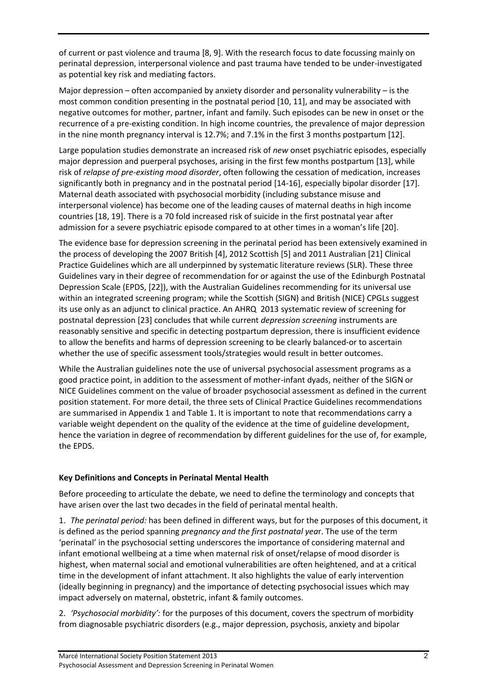of current or past violence and trauma [\[8,](#page-6-4) [9\]](#page-6-5). With the research focus to date focussing mainly on perinatal depression, interpersonal violence and past trauma have tended to be under-investigated as potential key risk and mediating factors.

Major depression – often accompanied by anxiety disorder and personality vulnerability – is the most common condition presenting in the postnatal period [\[10,](#page-6-6) [11\]](#page-6-7), and may be associated with negative outcomes for mother, partner, infant and family. Such episodes can be new in onset or the recurrence of a pre-existing condition. In high income countries, the prevalence of major depression in the nine month pregnancy interval is 12.7%; and 7.1% in the first 3 months postpartum [\[12\]](#page-6-8).

Large population studies demonstrate an increased risk of *new* onset psychiatric episodes, especially major depression and puerperal psychoses, arising in the first few months postpartum [\[13\]](#page-6-9), while risk of *relapse of pre-existing mood disorder*, often following the cessation of medication, increases significantly both in pregnancy and in the postnatal period [\[14-16\]](#page-6-10), especially bipolar disorder [\[17\]](#page-6-11). Maternal death associated with psychosocial morbidity (including substance misuse and interpersonal violence) has become one of the leading causes of maternal deaths in high income countries [\[18,](#page-6-12) [19\]](#page-6-13). There is a 70 fold increased risk of suicide in the first postnatal year after admission for a severe psychiatric episode compared to at other times in a woman's life [\[20\]](#page-6-14).

The evidence base for depression screening in the perinatal period has been extensively examined in the process of developing the 2007 British [\[4\]](#page-6-15), 2012 Scottish [\[5\]](#page-6-16) and 2011 Australian [\[21\]](#page-6-17) Clinical Practice Guidelines which are all underpinned by systematic literature reviews (SLR). These three Guidelines vary in their degree of recommendation for or against the use of the Edinburgh Postnatal Depression Scale (EPDS, [\[22\]](#page-6-18)), with the Australian Guidelines recommending for its universal use within an integrated screening program; while the Scottish (SIGN) and British (NICE) CPGLs suggest its use only as an adjunct to clinical practice. An AHRQ 2013 systematic review of screening for postnatal depression [\[23\]](#page-6-19) concludes that while current *depression screening* instruments are reasonably sensitive and specific in detecting postpartum depression, there is insufficient evidence to allow the benefits and harms of depression screening to be clearly balanced-or to ascertain whether the use of specific assessment tools/strategies would result in better outcomes.

While the Australian guidelines note the use of universal psychosocial assessment programs as a good practice point, in addition to the assessment of mother-infant dyads, neither of the SIGN or NICE Guidelines comment on the value of broader psychosocial assessment as defined in the current position statement. For more detail, the three sets of Clinical Practice Guidelines recommendations are summarised in Appendix 1 and Table 1. It is important to note that recommendations carry a variable weight dependent on the quality of the evidence at the time of guideline development, hence the variation in degree of recommendation by different guidelines for the use of, for example, the EPDS.

# **Key Definitions and Concepts in Perinatal Mental Health**

Before proceeding to articulate the debate, we need to define the terminology and concepts that have arisen over the last two decades in the field of perinatal mental health.

1. *The perinatal period:* has been defined in different ways, but for the purposes of this document, it is defined as the period spanning *pregnancy and the first postnatal yea*r. The use of the term 'perinatal' in the psychosocial setting underscores the importance of considering maternal and infant emotional wellbeing at a time when maternal risk of onset/relapse of mood disorder is highest, when maternal social and emotional vulnerabilities are often heightened, and at a critical time in the development of infant attachment. It also highlights the value of early intervention (ideally beginning in pregnancy) and the importance of detecting psychosocial issues which may impact adversely on maternal, obstetric, infant & family outcomes.

2. *'Psychosocial morbidity':* for the purposes of this document, covers the spectrum of morbidity from diagnosable psychiatric disorders (e.g., major depression, psychosis, anxiety and bipolar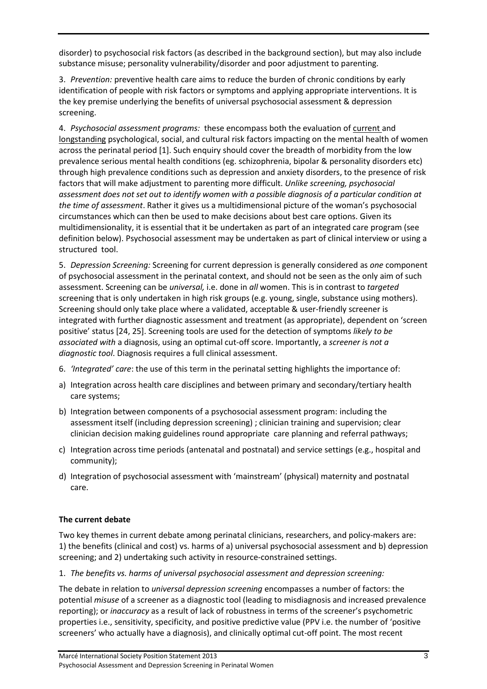disorder) to psychosocial risk factors (as described in the background section), but may also include substance misuse; personality vulnerability/disorder and poor adjustment to parenting.

3. *Prevention:* preventive health care aims to reduce the burden of chronic conditions by early identification of people with risk factors or symptoms and applying appropriate interventions. It is the key premise underlying the benefits of universal psychosocial assessment & depression screening.

4. *Psychosocial assessment programs:* these encompass both the evaluation of current and longstanding psychological, social, and cultural risk factors impacting on the mental health of women across the perinatal period [\[1\]](#page-6-0). Such enquiry should cover the breadth of morbidity from the low prevalence serious mental health conditions (eg. schizophrenia, bipolar & personality disorders etc) through high prevalence conditions such as depression and anxiety disorders, to the presence of risk factors that will make adjustment to parenting more difficult. *Unlike screening, psychosocial assessment does not set out to identify women with a possible diagnosis of a particular condition at the time of assessment*. Rather it gives us a multidimensional picture of the woman's psychosocial circumstances which can then be used to make decisions about best care options. Given its multidimensionality, it is essential that it be undertaken as part of an integrated care program (see definition below). Psychosocial assessment may be undertaken as part of clinical interview or using a structured tool.

5. *Depression Screening:* Screening for current depression is generally considered as *one* component of psychosocial assessment in the perinatal context, and should not be seen as the only aim of such assessment. Screening can be *universal,* i.e. done in *all* women. This is in contrast to *targeted* screening that is only undertaken in high risk groups (e.g. young, single, substance using mothers). Screening should only take place where a validated, acceptable & user-friendly screener is integrated with further diagnostic assessment and treatment (as appropriate), dependent on 'screen positive' status [\[24,](#page-6-20) [25\]](#page-6-21). Screening tools are used for the detection of symptoms *likely to be associated with* a diagnosis, using an optimal cut-off score. Importantly, a *screener i*s *not a diagnostic tool*. Diagnosis requires a full clinical assessment.

- 6. *'Integrated' care*: the use of this term in the perinatal setting highlights the importance of:
- a) Integration across health care disciplines and between primary and secondary/tertiary health care systems;
- b) Integration between components of a psychosocial assessment program: including the assessment itself (including depression screening) ; clinician training and supervision; clear clinician decision making guidelines round appropriate care planning and referral pathways;
- c) Integration across time periods (antenatal and postnatal) and service settings (e.g., hospital and community);
- d) Integration of psychosocial assessment with 'mainstream' (physical) maternity and postnatal care.

# **The current debate**

Two key themes in current debate among perinatal clinicians, researchers, and policy-makers are: 1) the benefits (clinical and cost) vs. harms of a) universal psychosocial assessment and b) depression screening; and 2) undertaking such activity in resource-constrained settings.

1. *The benefits vs. harms of universal psychosocial assessment and depression screening:*

The debate in relation to *universal depression screening* encompasses a number of factors: the potential *misuse* of a screener as a diagnostic tool (leading to misdiagnosis and increased prevalence reporting); or *inaccuracy* as a result of lack of robustness in terms of the screener's psychometric properties i.e., sensitivity, specificity, and positive predictive value (PPV i.e. the number of 'positive screeners' who actually have a diagnosis), and clinically optimal cut-off point. The most recent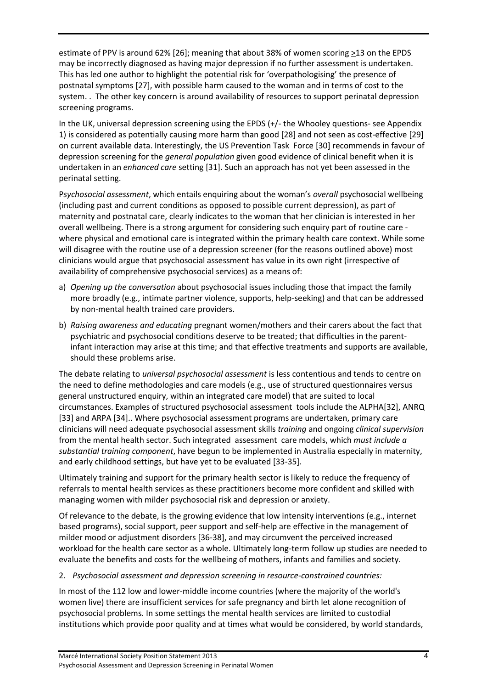estimate of PPV is around 62% [\[26\]](#page-6-22); meaning that about 38% of women scoring >13 on the EPDS may be incorrectly diagnosed as having major depression if no further assessment is undertaken. This has led one author to highlight the potential risk for 'overpathologising' the presence of postnatal symptoms [\[27\]](#page-6-23), with possible harm caused to the woman and in terms of cost to the system. . The other key concern is around availability of resources to support perinatal depression screening programs.

In the UK, universal depression screening using the EPDS (+/- the Whooley questions- see Appendix 1) is considered as potentially causing more harm than good [\[28\]](#page-7-0) and not seen as cost-effective [\[29\]](#page-7-1) on current available data. Interestingly, the US Prevention Task Force [\[30\]](#page-7-2) recommends in favour of depression screening for the *general population* given good evidence of clinical benefit when it is undertaken in an *enhanced care* setting [\[31\]](#page-7-3). Such an approach has not yet been assessed in the perinatal setting.

P*sychosocial assessment*, which entails enquiring about the woman's *overall* psychosocial wellbeing (including past and current conditions as opposed to possible current depression), as part of maternity and postnatal care, clearly indicates to the woman that her clinician is interested in her overall wellbeing. There is a strong argument for considering such enquiry part of routine care where physical and emotional care is integrated within the primary health care context. While some will disagree with the routine use of a depression screener (for the reasons outlined above) most clinicians would argue that psychosocial assessment has value in its own right (irrespective of availability of comprehensive psychosocial services) as a means of:

- a) *Opening up the conversation* about psychosocial issues including those that impact the family more broadly (e.g., intimate partner violence, supports, help-seeking) and that can be addressed by non-mental health trained care providers.
- b) *Raising awareness and educating* pregnant women/mothers and their carers about the fact that psychiatric and psychosocial conditions deserve to be treated; that difficulties in the parentinfant interaction may arise at this time; and that effective treatments and supports are available, should these problems arise.

The debate relating to *universal psychosocial assessment* is less contentious and tends to centre on the need to define methodologies and care models (e.g., use of structured questionnaires versus general unstructured enquiry, within an integrated care model) that are suited to local circumstances. Examples of structured psychosocial assessment tools include the ALPHA[\[32\]](#page-7-4), ANRQ [\[33\]](#page-7-5) and ARPA [\[34\]](#page-7-6).. Where psychosocial assessment programs are undertaken, primary care clinicians will need adequate psychosocial assessment skills *training* and ongoing *clinical supervision* from the mental health sector. Such integrated assessment care models, which *must include a substantial training component*, have begun to be implemented in Australia especially in maternity, and early childhood settings, but have yet to be evaluated [\[33-35\]](#page-7-5).

Ultimately training and support for the primary health sector is likely to reduce the frequency of referrals to mental health services as these practitioners become more confident and skilled with managing women with milder psychosocial risk and depression or anxiety.

Of relevance to the debate, is the growing evidence that low intensity interventions (e.g., internet based programs), social support, peer support and self-help are effective in the management of milder mood or adjustment disorders [\[36-38\]](#page-7-7), and may circumvent the perceived increased workload for the health care sector as a whole. Ultimately long-term follow up studies are needed to evaluate the benefits and costs for the wellbeing of mothers, infants and families and society.

## 2. *Psychosocial assessment and depression screening in resource-constrained countries:*

In most of the 112 low and lower-middle income countries (where the majority of the world's women live) there are insufficient services for safe pregnancy and birth let alone recognition of psychosocial problems. In some settings the mental health services are limited to custodial institutions which provide poor quality and at times what would be considered, by world standards,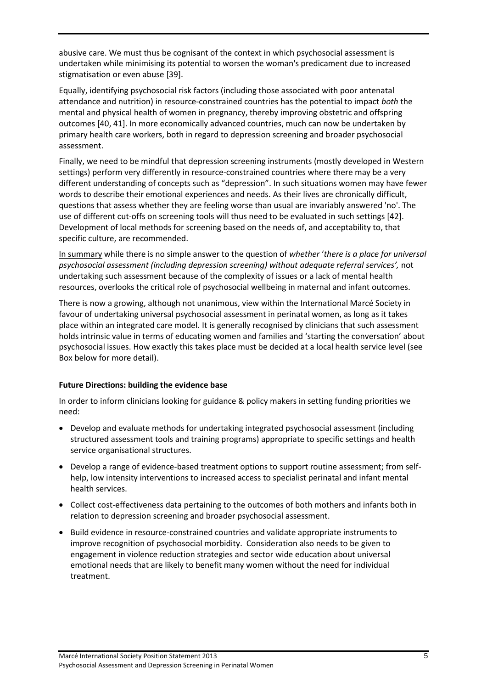abusive care. We must thus be cognisant of the context in which psychosocial assessment is undertaken while minimising its potential to worsen the woman's predicament due to increased stigmatisation or even abuse [\[39\]](#page-7-8).

Equally, identifying psychosocial risk factors (including those associated with poor antenatal attendance and nutrition) in resource-constrained countries has the potential to impact *both* the mental and physical health of women in pregnancy, thereby improving obstetric and offspring outcomes [\[40,](#page-7-9) [41\]](#page-7-10). In more economically advanced countries, much can now be undertaken by primary health care workers, both in regard to depression screening and broader psychosocial assessment.

Finally, we need to be mindful that depression screening instruments (mostly developed in Western settings) perform very differently in resource-constrained countries where there may be a very different understanding of concepts such as "depression". In such situations women may have fewer words to describe their emotional experiences and needs. As their lives are chronically difficult, questions that assess whether they are feeling worse than usual are invariably answered 'no'. The use of different cut-offs on screening tools will thus need to be evaluated in such settings [\[42\]](#page-7-11). Development of local methods for screening based on the needs of, and acceptability to, that specific culture, are recommended.

In summary while there is no simple answer to the question of *whether* '*there is a place for universal psychosocial assessment (including depression screening) without adequate referral services',* not undertaking such assessment because of the complexity of issues or a lack of mental health resources, overlooks the critical role of psychosocial wellbeing in maternal and infant outcomes.

There is now a growing, although not unanimous, view within the International Marcé Society in favour of undertaking universal psychosocial assessment in perinatal women, as long as it takes place within an integrated care model. It is generally recognised by clinicians that such assessment holds intrinsic value in terms of educating women and families and 'starting the conversation' about psychosocial issues. How exactly this takes place must be decided at a local health service level (see Box below for more detail).

## **Future Directions: building the evidence base**

In order to inform clinicians looking for guidance & policy makers in setting funding priorities we need:

- Develop and evaluate methods for undertaking integrated psychosocial assessment (including structured assessment tools and training programs) appropriate to specific settings and health service organisational structures.
- Develop a range of evidence-based treatment options to support routine assessment; from selfhelp, low intensity interventions to increased access to specialist perinatal and infant mental health services.
- Collect cost-effectiveness data pertaining to the outcomes of both mothers and infants both in relation to depression screening and broader psychosocial assessment.
- Build evidence in resource-constrained countries and validate appropriate instruments to improve recognition of psychosocial morbidity. Consideration also needs to be given to engagement in violence reduction strategies and sector wide education about universal emotional needs that are likely to benefit many women without the need for individual treatment.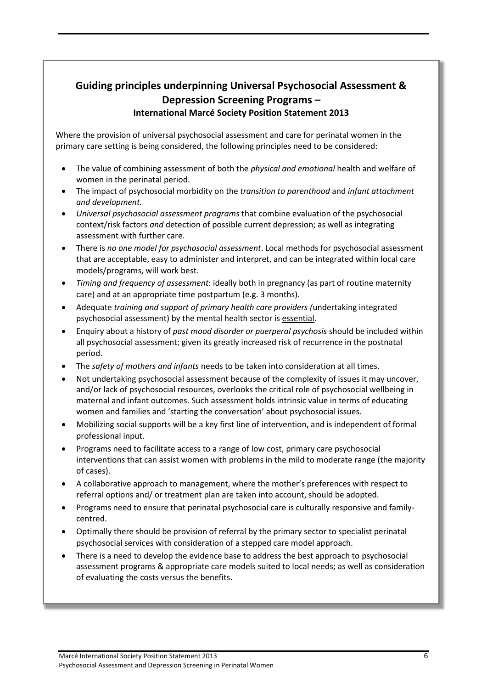# **Guiding principles underpinning Universal Psychosocial Assessment & Depression Screening Programs –**

## **International Marcé Society Position Statement 2013**

Where the provision of universal psychosocial assessment and care for perinatal women in the primary care setting is being considered, the following principles need to be considered:

- The value of combining assessment of both the *physical and emotional* health and welfare of women in the perinatal period.
- The impact of psychosocial morbidity on the *transition to parenthood* and *infant attachment and development.*
- *Universal psychosocial assessment programs* that combine evaluation of the psychosocial context/risk factors *and* detection of possible current depression; as well as integrating assessment with further care.
- There is *no one model for psychosocial assessment*. Local methods for psychosocial assessment that are acceptable, easy to administer and interpret, and can be integrated within local care models/programs, will work best.
- *Timing and frequency of assessment*: ideally both in pregnancy (as part of routine maternity care) and at an appropriate time postpartum (e.g. 3 months).
- Adequate *training and support of primary health care providers (*undertaking integrated psychosocial assessment) by the mental health sector is essential.
- Enquiry about a history of *past mood disorder or puerperal psychosis* should be included within all psychosocial assessment; given its greatly increased risk of recurrence in the postnatal period.
- The *safety of mothers and infants* needs to be taken into consideration at all times.
- Not undertaking psychosocial assessment because of the complexity of issues it may uncover, and/or lack of psychosocial resources, overlooks the critical role of psychosocial wellbeing in maternal and infant outcomes. Such assessment holds intrinsic value in terms of educating women and families and 'starting the conversation' about psychosocial issues.
- Mobilizing social supports will be a key first line of intervention, and is independent of formal professional input.
- Programs need to facilitate access to a range of low cost, primary care psychosocial interventions that can assist women with problems in the mild to moderate range (the majority of cases).
- A collaborative approach to management, where the mother's preferences with respect to referral options and/ or treatment plan are taken into account, should be adopted.
- Programs need to ensure that perinatal psychosocial care is culturally responsive and familycentred.
- Optimally there should be provision of referral by the primary sector to specialist perinatal psychosocial services with consideration of a stepped care model approach.
- There is a need to develop the evidence base to address the best approach to psychosocial assessment programs & appropriate care models suited to local needs; as well as consideration of evaluating the costs versus the benefits.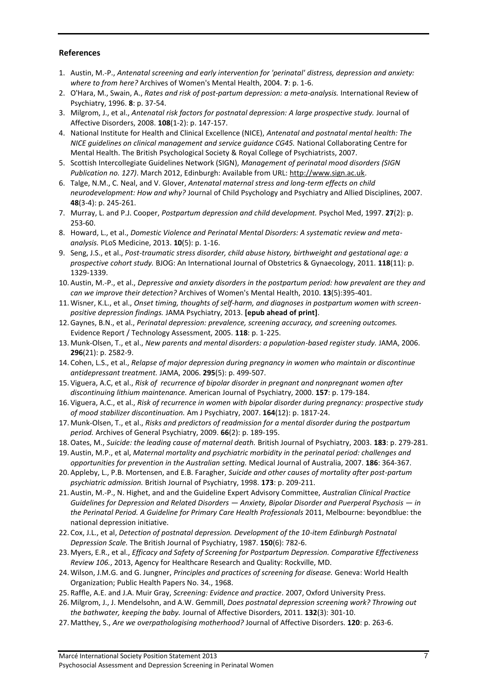### **References**

- <span id="page-6-0"></span>1. Austin, M.-P., *Antenatal screening and early intervention for 'perinatal' distress, depression and anxiety: where to from here?* Archives of Women's Mental Health, 2004. **7**: p. 1-6.
- <span id="page-6-1"></span>2. O'Hara, M., Swain, A., *Rates and risk of post-partum depression: a meta-analysis.* International Review of Psychiatry, 1996. **8**: p. 37-54.
- 3. Milgrom, J., et al., *Antenatal risk factors for postnatal depression: A large prospective study.* Journal of Affective Disorders, 2008. **108**(1-2): p. 147-157.
- <span id="page-6-15"></span>4. National Institute for Health and Clinical Excellence (NICE), *Antenatal and postnatal mental health: The NICE guidelines on clinical management and service guidance CG45.* National Collaborating Centre for Mental Health. The British Psychological Society & Royal College of Psychiatrists, 2007.
- <span id="page-6-16"></span>5. Scottish Intercollegiate Guidelines Network (SIGN), *Management of perinatal mood disorders (SIGN Publication no. 127)*. March 2012, Edinburgh: Available from URL: [http://www.sign.ac.uk.](http://www.sign.ac.uk/)
- <span id="page-6-2"></span>6. Talge, N.M., C. Neal, and V. Glover, *Antenatal maternal stress and long-term effects on child neurodevelopment: How and why?* Journal of Child Psychology and Psychiatry and Allied Disciplines, 2007. **48**(3-4): p. 245-261.
- <span id="page-6-3"></span>7. Murray, L. and P.J. Cooper, *Postpartum depression and child development.* Psychol Med, 1997. **27**(2): p. 253-60.
- <span id="page-6-4"></span>8. Howard, L., et al., *Domestic Violence and Perinatal Mental Disorders: A systematic review and metaanalysis.* PLoS Medicine, 2013. **10**(5): p. 1-16.
- <span id="page-6-5"></span>9. Seng, J.S., et al., *Post-traumatic stress disorder, child abuse history, birthweight and gestational age: a prospective cohort study.* BJOG: An International Journal of Obstetrics & Gynaecology, 2011. **118**(11): p. 1329-1339.
- <span id="page-6-6"></span>10. Austin, M.-P., et al., *Depressive and anxiety disorders in the postpartum period: how prevalent are they and can we improve their detection?* Archives of Women's Mental Health, 2010. **13**(5):395-401.
- <span id="page-6-7"></span>11. Wisner, K.L., et al., *Onset timing, thoughts of self-harm, and diagnoses in postpartum women with screenpositive depression findings.* JAMA Psychiatry, 2013. **[epub ahead of print]**.
- <span id="page-6-8"></span>12.Gaynes, B.N., et al., *Perinatal depression: prevalence, screening accuracy, and screening outcomes.* Evidence Report / Technology Assessment, 2005. **118**: p. 1-225.
- <span id="page-6-9"></span>13. Munk-Olsen, T., et al., *New parents and mental disorders: a population-based register study.* JAMA, 2006. **296**(21): p. 2582-9.
- <span id="page-6-10"></span>14. Cohen, L.S., et al., *Relapse of major depression during pregnancy in women who maintain or discontinue antidepressant treatment.* JAMA, 2006. **295**(5): p. 499-507.
- 15. Viguera, A.C, et al., *Risk of recurrence of bipolar disorder in pregnant and nonpregnant women after discontinuing lithium maintenance.* American Journal of Psychiatry, 2000. **157**: p. 179-184.
- 16. Viguera, A.C., et al., *Risk of recurrence in women with bipolar disorder during pregnancy: prospective study of mood stabilizer discontinuation.* Am J Psychiatry, 2007. **164**(12): p. 1817-24.
- <span id="page-6-11"></span>17. Munk-Olsen, T., et al., *Risks and predictors of readmission for a mental disorder during the postpartum period.* Archives of General Psychiatry, 2009. **66**(2): p. 189-195.
- <span id="page-6-12"></span>18.Oates, M., *Suicide: the leading cause of maternal death.* British Journal of Psychiatry, 2003. **183**: p. 279-281.
- <span id="page-6-13"></span>19. Austin, M.P., et al, *Maternal mortality and psychiatric morbidity in the perinatal period: challenges and opportunities for prevention in the Australian setting.* Medical Journal of Australia, 2007. **186**: 364-367.
- <span id="page-6-14"></span>20. Appleby, L., P.B. Mortensen, and E.B. Faragher, *Suicide and other causes of mortality after post-partum psychiatric admission.* British Journal of Psychiatry, 1998. **173**: p. 209-211.
- <span id="page-6-17"></span>21. Austin, M.-P., N. Highet, and and the Guideline Expert Advisory Committee, *Australian Clinical Practice Guidelines for Depression and Related Disorders — Anxiety, Bipolar Disorder and Puerperal Psychosis — in the Perinatal Period. A Guideline for Primary Care Health Professionals* 2011, Melbourne: beyondblue: the national depression initiative.
- <span id="page-6-18"></span>22. Cox, J.L., et al, *Detection of postnatal depression. Development of the 10-item Edinburgh Postnatal Depression Scale.* The British Journal of Psychiatry, 1987. **150**(6): 782-6.
- <span id="page-6-19"></span>23. Myers, E.R., et al., *Efficacy and Safety of Screening for Postpartum Depression. Comparative Effectiveness Review 106.*, 2013, Agency for Healthcare Research and Quality: Rockville, MD.
- <span id="page-6-20"></span>24. Wilson, J.M.G. and G. Jungner, *Principles and practices of screening for disease.* Geneva: World Health Organization; Public Health Papers No. 34., 1968.
- <span id="page-6-21"></span>25. Raffle, A.E. and J.A. Muir Gray, *Screening: Evidence and practice*. 2007, Oxford University Press.
- <span id="page-6-22"></span>26. Milgrom, J., J. Mendelsohn, and A.W. Gemmill, *Does postnatal depression screening work? Throwing out the bathwater, keeping the baby.* Journal of Affective Disorders, 2011. **132**(3): 301-10.
- <span id="page-6-23"></span>27. Matthey, S., *Are we overpathologising motherhood?* Journal of Affective Disorders. **120**: p. 263-6.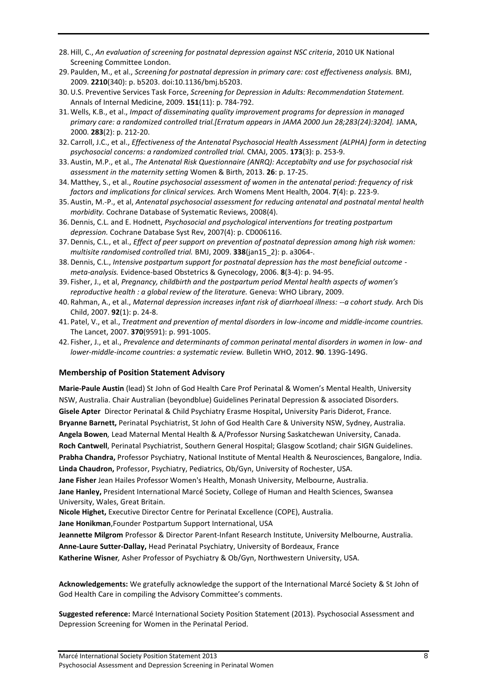- <span id="page-7-0"></span>28. Hill, C., *An evaluation of screening for postnatal depression against NSC criteria*, 2010 UK National Screening Committee London.
- <span id="page-7-1"></span>29. Paulden, M., et al., *Screening for postnatal depression in primary care: cost effectiveness analysis.* BMJ, 2009. **2210**(340): p. b5203. doi:10.1136/bmj.b5203.
- <span id="page-7-2"></span>30.U.S. Preventive Services Task Force, *Screening for Depression in Adults: Recommendation Statement.* Annals of Internal Medicine, 2009. **151**(11): p. 784-792.
- <span id="page-7-3"></span>31. Wells, K.B., et al., *Impact of disseminating quality improvement programs for depression in managed primary care: a randomized controlled trial.[Erratum appears in JAMA 2000 Jun 28;283(24):3204].* JAMA, 2000. **283**(2): p. 212-20.
- <span id="page-7-4"></span>32. Carroll, J.C., et al., *Effectiveness of the Antenatal Psychosocial Health Assessment (ALPHA) form in detecting psychosocial concerns: a randomized controlled trial.* CMAJ, 2005. **173**(3): p. 253-9.
- <span id="page-7-5"></span>33. Austin, M.P., et al., *The Antenatal Risk Questionnaire (ANRQ): Acceptabilty and use for psychosocial risk assessment in the maternity setting* Women & Birth, 2013. **26**: p. 17-25.
- <span id="page-7-6"></span>34. Matthey, S., et al., *Routine psychosocial assessment of women in the antenatal period: frequency of risk factors and implications for clinical services.* Arch Womens Ment Health, 2004. **7**(4): p. 223-9.
- 35. Austin, M.-P., et al, *Antenatal psychosocial assessment for reducing antenatal and postnatal mental health morbidity.* Cochrane Database of Systematic Reviews, 2008(4).
- <span id="page-7-7"></span>36. Dennis, C.L. and E. Hodnett, *Psychosocial and psychological interventions for treating postpartum depression.* Cochrane Database Syst Rev, 2007(4): p. CD006116.
- 37. Dennis, C.L., et al., *Effect of peer support on prevention of postnatal depression among high risk women: multisite randomised controlled trial.* BMJ, 2009. **338**(jan15\_2): p. a3064-.
- 38. Dennis, C.L., *Intensive postpartum support for postnatal depression has the most beneficial outcome meta-analysis.* Evidence-based Obstetrics & Gynecology, 2006. **8**(3-4): p. 94-95.
- <span id="page-7-8"></span>39. Fisher, J., et al, *Pregnancy, childbirth and the postpartum period Mental health aspects of women's reproductive health : a global review of the literature.* Geneva: WHO Library, 2009.
- <span id="page-7-9"></span>40. Rahman, A., et al., *Maternal depression increases infant risk of diarrhoeal illness: --a cohort study.* Arch Dis Child, 2007. **92**(1): p. 24-8.
- <span id="page-7-10"></span>41. Patel, V., et al., *Treatment and prevention of mental disorders in low-income and middle-income countries.* The Lancet, 2007. **370**(9591): p. 991-1005.
- <span id="page-7-11"></span>42. Fisher, J., et al., *Prevalence and determinants of common perinatal mental disorders in women in low- and lower-middle-income countries: a systematic review.* Bulletin WHO, 2012. **90**. 139G-149G.

### **Membership of Position Statement Advisory**

**Marie-Paule Austin** (lead) St John of God Health Care Prof Perinatal & Women's Mental Health, University NSW, Australia. Chair Australian (beyondblue) Guidelines Perinatal Depression & associated Disorders. **Gisele Apter** Director Perinatal & Child Psychiatry Erasme Hospital**,** University Paris Diderot, France. **Bryanne Barnett,** Perinatal Psychiatrist, St John of God Health Care & University NSW, Sydney, Australia. **Angela Bowen***,* Lead Maternal Mental Health & A/Professor Nursing Saskatchewan University, Canada. **Roch Cantwell**, Perinatal Psychiatrist, Southern General Hospital; Glasgow Scotland; chair SIGN Guidelines. **Prabha Chandra,** Professor Psychiatry, National Institute of Mental Health & Neurosciences, Bangalore, India. **Linda Chaudron,** Professor, Psychiatry, Pediatrics, Ob/Gyn, University of Rochester, USA. **Jane Fisher** Jean Hailes Professor Women's Health, Monash University, Melbourne, Australia. **Jane Hanley,** President International Marcé Society, College of Human and Health Sciences, Swansea University, Wales, Great Britain. **Nicole Highet,** Executive Director Centre for Perinatal Excellence (COPE), Australia.

**Jane Honikman**,Founder Postpartum Support International, USA

**Jeannette Milgrom** Professor & Director Parent-Infant Research Institute, University Melbourne, Australia.

**Anne-Laure Sutter-Dallay,** Head Perinatal Psychiatry, University of Bordeaux, France

**Katherine Wisner***,* Asher Professor of Psychiatry & Ob/Gyn, Northwestern University, USA.

**Acknowledgements:** We gratefully acknowledge the support of the International Marcé Society & St John of God Health Care in compiling the Advisory Committee's comments.

**Suggested reference:** Marcé International Society Position Statement (2013). Psychosocial Assessment and Depression Screening for Women in the Perinatal Period.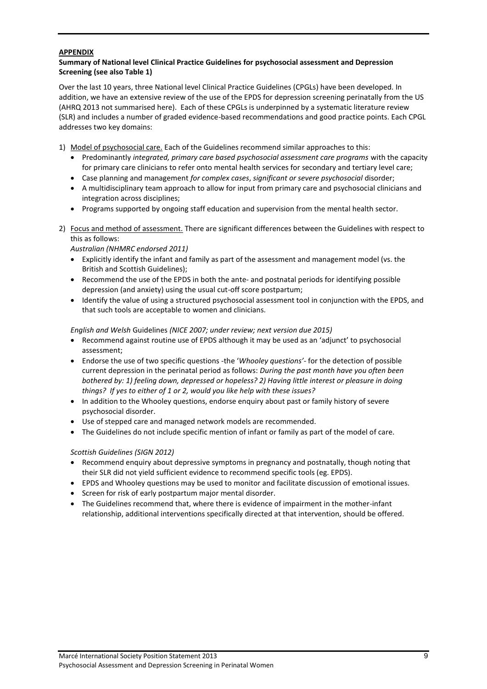### **APPENDIX**

### **Summary of National level Clinical Practice Guidelines for psychosocial assessment and Depression Screening (see also Table 1)**

Over the last 10 years, three National level Clinical Practice Guidelines (CPGLs) have been developed. In addition, we have an extensive review of the use of the EPDS for depression screening perinatally from the US (AHRQ 2013 not summarised here). Each of these CPGLs is underpinned by a systematic literature review (SLR) and includes a number of graded evidence-based recommendations and good practice points. Each CPGL addresses two key domains:

- 1) Model of psychosocial care. Each of the Guidelines recommend similar approaches to this:
	- Predominantly *integrated, primary care based psychosocial assessment care programs* with the capacity for primary care clinicians to refer onto mental health services for secondary and tertiary level care;
	- Case planning and management *for complex cases*, *significant or severe psychosocial* disorder;
	- A multidisciplinary team approach to allow for input from primary care and psychosocial clinicians and integration across disciplines;
	- Programs supported by ongoing staff education and supervision from the mental health sector.
- 2) Focus and method of assessment. There are significant differences between the Guidelines with respect to this as follows:

#### *Australian (NHMRC endorsed 2011)*

- Explicitly identify the infant and family as part of the assessment and management model (vs. the British and Scottish Guidelines);
- Recommend the use of the EPDS in both the ante- and postnatal periods for identifying possible depression (and anxiety) using the usual cut-off score postpartum;
- Identify the value of using a structured psychosocial assessment tool in conjunction with the EPDS, and that such tools are acceptable to women and clinicians.

*English and Welsh* Guidelines *(NICE 2007; under review; next version due 2015)* 

- Recommend against routine use of EPDS although it may be used as an 'adjunct' to psychosocial assessment;
- Endorse the use of two specific questions -the '*Whooley questions'* for the detection of possible current depression in the perinatal period as follows: *During the past month have you often been bothered by: 1) feeling down, depressed or hopeless? 2) Having little interest or pleasure in doing things? If yes to either of 1 or 2, would you like help with these issues?*
- In addition to the Whooley questions, endorse enquiry about past or family history of severe psychosocial disorder.
- Use of stepped care and managed network models are recommended.
- The Guidelines do not include specific mention of infant or family as part of the model of care.

### *Scottish Guidelines (SIGN 2012)*

- Recommend enquiry about depressive symptoms in pregnancy and postnatally, though noting that their SLR did not yield sufficient evidence to recommend specific tools (eg. EPDS).
- EPDS and Whooley questions may be used to monitor and facilitate discussion of emotional issues.
- Screen for risk of early postpartum major mental disorder.
- The Guidelines recommend that, where there is evidence of impairment in the mother-infant relationship, additional interventions specifically directed at that intervention, should be offered.